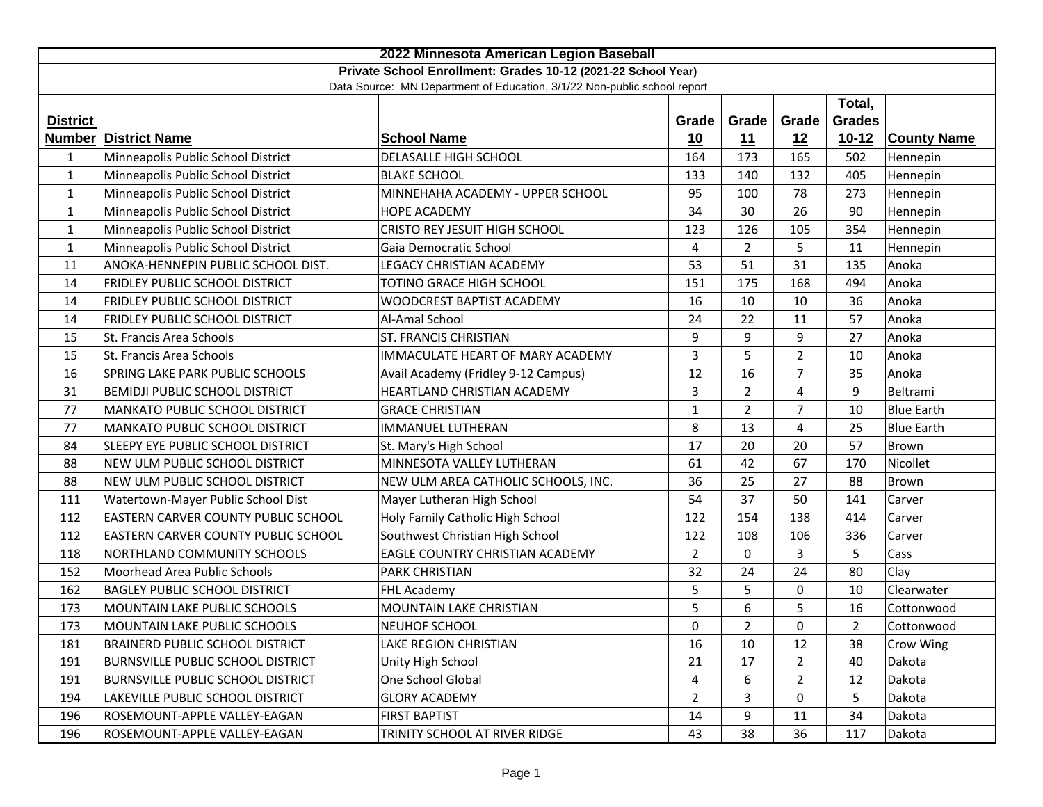| 2022 Minnesota American Legion Baseball                                  |                                          |                                     |                |                |                |                |                    |
|--------------------------------------------------------------------------|------------------------------------------|-------------------------------------|----------------|----------------|----------------|----------------|--------------------|
| Private School Enrollment: Grades 10-12 (2021-22 School Year)            |                                          |                                     |                |                |                |                |                    |
| Data Source: MN Department of Education, 3/1/22 Non-public school report |                                          |                                     |                |                |                |                |                    |
|                                                                          |                                          |                                     |                |                |                | Total,         |                    |
| <b>District</b>                                                          |                                          |                                     | Grade          | Grade          | Grade          | <b>Grades</b>  |                    |
|                                                                          | <b>Number District Name</b>              | <b>School Name</b>                  | 10             | 11             | 12             | $10-12$        | <b>County Name</b> |
| 1                                                                        | Minneapolis Public School District       | DELASALLE HIGH SCHOOL               | 164            | 173            | 165            | 502            | Hennepin           |
| $\mathbf{1}$                                                             | Minneapolis Public School District       | <b>BLAKE SCHOOL</b>                 | 133            | 140            | 132            | 405            | Hennepin           |
| $\mathbf{1}$                                                             | Minneapolis Public School District       | MINNEHAHA ACADEMY - UPPER SCHOOL    | 95             | 100            | 78             | 273            | Hennepin           |
| $\mathbf{1}$                                                             | Minneapolis Public School District       | <b>HOPE ACADEMY</b>                 | 34             | 30             | 26             | 90             | Hennepin           |
| $\mathbf{1}$                                                             | Minneapolis Public School District       | CRISTO REY JESUIT HIGH SCHOOL       | 123            | 126            | 105            | 354            | Hennepin           |
| $\mathbf{1}$                                                             | Minneapolis Public School District       | Gaia Democratic School              | $\overline{4}$ | $\overline{2}$ | 5              | 11             | Hennepin           |
| 11                                                                       | ANOKA-HENNEPIN PUBLIC SCHOOL DIST.       | LEGACY CHRISTIAN ACADEMY            | 53             | 51             | 31             | 135            | Anoka              |
| 14                                                                       | FRIDLEY PUBLIC SCHOOL DISTRICT           | TOTINO GRACE HIGH SCHOOL            | 151            | 175            | 168            | 494            | Anoka              |
| 14                                                                       | FRIDLEY PUBLIC SCHOOL DISTRICT           | WOODCREST BAPTIST ACADEMY           | 16             | 10             | 10             | 36             | Anoka              |
| 14                                                                       | FRIDLEY PUBLIC SCHOOL DISTRICT           | Al-Amal School                      | 24             | 22             | 11             | 57             | Anoka              |
| 15                                                                       | St. Francis Area Schools                 | ST. FRANCIS CHRISTIAN               | 9              | 9              | 9              | 27             | Anoka              |
| 15                                                                       | St. Francis Area Schools                 | IMMACULATE HEART OF MARY ACADEMY    | 3              | 5              | $\overline{2}$ | 10             | Anoka              |
| 16                                                                       | SPRING LAKE PARK PUBLIC SCHOOLS          | Avail Academy (Fridley 9-12 Campus) | 12             | 16             | $\overline{7}$ | 35             | Anoka              |
| 31                                                                       | <b>BEMIDJI PUBLIC SCHOOL DISTRICT</b>    | HEARTLAND CHRISTIAN ACADEMY         | 3              | $\overline{2}$ | 4              | 9              | Beltrami           |
| 77                                                                       | MANKATO PUBLIC SCHOOL DISTRICT           | <b>GRACE CHRISTIAN</b>              | $\mathbf{1}$   | $\overline{2}$ | $\overline{7}$ | 10             | <b>Blue Earth</b>  |
| 77                                                                       | <b>MANKATO PUBLIC SCHOOL DISTRICT</b>    | <b>IMMANUEL LUTHERAN</b>            | 8              | 13             | 4              | 25             | <b>Blue Earth</b>  |
| 84                                                                       | SLEEPY EYE PUBLIC SCHOOL DISTRICT        | St. Mary's High School              | 17             | 20             | 20             | 57             | Brown              |
| 88                                                                       | NEW ULM PUBLIC SCHOOL DISTRICT           | MINNESOTA VALLEY LUTHERAN           | 61             | 42             | 67             | 170            | Nicollet           |
| 88                                                                       | NEW ULM PUBLIC SCHOOL DISTRICT           | NEW ULM AREA CATHOLIC SCHOOLS, INC. | 36             | 25             | 27             | 88             | <b>Brown</b>       |
| 111                                                                      | Watertown-Mayer Public School Dist       | Mayer Lutheran High School          | 54             | 37             | 50             | 141            | Carver             |
| 112                                                                      | EASTERN CARVER COUNTY PUBLIC SCHOOL      | Holy Family Catholic High School    | 122            | 154            | 138            | 414            | Carver             |
| 112                                                                      | EASTERN CARVER COUNTY PUBLIC SCHOOL      | Southwest Christian High School     | 122            | 108            | 106            | 336            | Carver             |
| 118                                                                      | NORTHLAND COMMUNITY SCHOOLS              | EAGLE COUNTRY CHRISTIAN ACADEMY     | $\overline{2}$ | 0              | 3              | 5              | Cass               |
| 152                                                                      | Moorhead Area Public Schools             | PARK CHRISTIAN                      | 32             | 24             | 24             | 80             | Clay               |
| 162                                                                      | <b>BAGLEY PUBLIC SCHOOL DISTRICT</b>     | FHL Academy                         | 5              | 5              | $\mathbf 0$    | 10             | Clearwater         |
| 173                                                                      | MOUNTAIN LAKE PUBLIC SCHOOLS             | MOUNTAIN LAKE CHRISTIAN             | 5              | 6              | 5              | 16             | Cottonwood         |
| 173                                                                      | MOUNTAIN LAKE PUBLIC SCHOOLS             | <b>NEUHOF SCHOOL</b>                | 0              | $\overline{2}$ | 0              | $\overline{2}$ | Cottonwood         |
| 181                                                                      | <b>BRAINERD PUBLIC SCHOOL DISTRICT</b>   | LAKE REGION CHRISTIAN               | 16             | 10             | 12             | 38             | Crow Wing          |
| 191                                                                      | <b>BURNSVILLE PUBLIC SCHOOL DISTRICT</b> | Unity High School                   | 21             | 17             | $\overline{2}$ | 40             | Dakota             |
| 191                                                                      | <b>BURNSVILLE PUBLIC SCHOOL DISTRICT</b> | One School Global                   | 4              | 6              | $\overline{2}$ | 12             | Dakota             |
| 194                                                                      | LAKEVILLE PUBLIC SCHOOL DISTRICT         | <b>GLORY ACADEMY</b>                | $\overline{2}$ | 3              | 0              | 5              | Dakota             |
| 196                                                                      | ROSEMOUNT-APPLE VALLEY-EAGAN             | <b>FIRST BAPTIST</b>                | 14             | 9              | 11             | 34             | Dakota             |
| 196                                                                      | ROSEMOUNT-APPLE VALLEY-EAGAN             | TRINITY SCHOOL AT RIVER RIDGE       | 43             | 38             | 36             | 117            | Dakota             |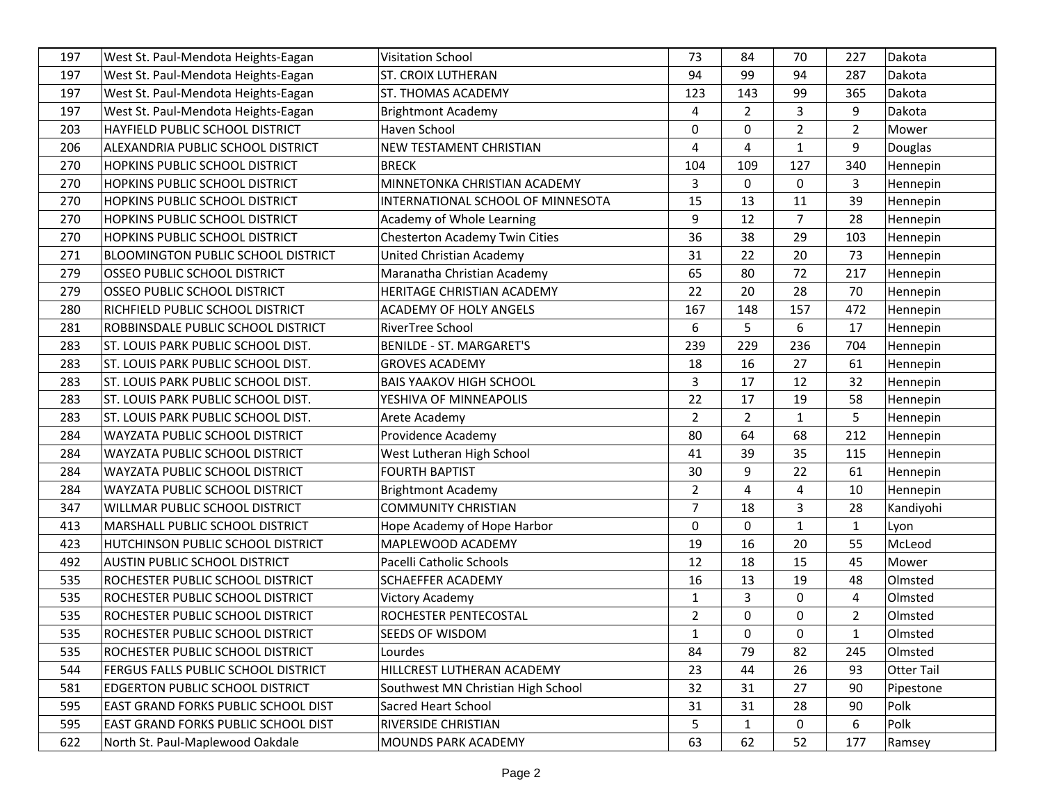| 197 | West St. Paul-Mendota Heights-Eagan        | <b>Visitation School</b>           | 73             | 84             | 70             | 227            | Dakota     |
|-----|--------------------------------------------|------------------------------------|----------------|----------------|----------------|----------------|------------|
| 197 | West St. Paul-Mendota Heights-Eagan        | <b>ST. CROIX LUTHERAN</b>          | 94             | 99             | 94             | 287            | Dakota     |
| 197 | West St. Paul-Mendota Heights-Eagan        | ST. THOMAS ACADEMY                 | 123            | 143            | 99             | 365            | Dakota     |
| 197 | West St. Paul-Mendota Heights-Eagan        | <b>Brightmont Academy</b>          | 4              | $\overline{2}$ | 3              | 9              | Dakota     |
| 203 | HAYFIELD PUBLIC SCHOOL DISTRICT            | Haven School                       | 0              | $\mathbf 0$    | $\overline{2}$ | $\overline{2}$ | Mower      |
| 206 | ALEXANDRIA PUBLIC SCHOOL DISTRICT          | NEW TESTAMENT CHRISTIAN            | 4              | 4              | $\mathbf{1}$   | 9              | Douglas    |
| 270 | <b>HOPKINS PUBLIC SCHOOL DISTRICT</b>      | <b>BRECK</b>                       | 104            | 109            | 127            | 340            | Hennepin   |
| 270 | HOPKINS PUBLIC SCHOOL DISTRICT             | MINNETONKA CHRISTIAN ACADEMY       | 3              | $\Omega$       | $\mathbf 0$    | 3              | Hennepin   |
| 270 | HOPKINS PUBLIC SCHOOL DISTRICT             | INTERNATIONAL SCHOOL OF MINNESOTA  | 15             | 13             | 11             | 39             | Hennepin   |
| 270 | HOPKINS PUBLIC SCHOOL DISTRICT             | Academy of Whole Learning          | 9              | 12             | $\overline{7}$ | 28             | Hennepin   |
| 270 | HOPKINS PUBLIC SCHOOL DISTRICT             | Chesterton Academy Twin Cities     | 36             | 38             | 29             | 103            | Hennepin   |
| 271 | <b>BLOOMINGTON PUBLIC SCHOOL DISTRICT</b>  | United Christian Academy           | 31             | 22             | 20             | 73             | Hennepin   |
| 279 | OSSEO PUBLIC SCHOOL DISTRICT               | Maranatha Christian Academy        | 65             | 80             | 72             | 217            | Hennepin   |
| 279 | OSSEO PUBLIC SCHOOL DISTRICT               | HERITAGE CHRISTIAN ACADEMY         | 22             | 20             | 28             | 70             | Hennepin   |
| 280 | RICHFIELD PUBLIC SCHOOL DISTRICT           | <b>ACADEMY OF HOLY ANGELS</b>      | 167            | 148            | 157            | 472            | Hennepin   |
| 281 | ROBBINSDALE PUBLIC SCHOOL DISTRICT         | RiverTree School                   | 6              | 5              | 6              | 17             | Hennepin   |
| 283 | ST. LOUIS PARK PUBLIC SCHOOL DIST.         | <b>BENILDE - ST. MARGARET'S</b>    | 239            | 229            | 236            | 704            | Hennepin   |
| 283 | ST. LOUIS PARK PUBLIC SCHOOL DIST.         | <b>GROVES ACADEMY</b>              | 18             | 16             | 27             | 61             | Hennepin   |
| 283 | ST. LOUIS PARK PUBLIC SCHOOL DIST.         | <b>BAIS YAAKOV HIGH SCHOOL</b>     | 3              | 17             | 12             | 32             | Hennepin   |
| 283 | ST. LOUIS PARK PUBLIC SCHOOL DIST.         | YESHIVA OF MINNEAPOLIS             | 22             | 17             | 19             | 58             | Hennepin   |
| 283 | ST. LOUIS PARK PUBLIC SCHOOL DIST.         | Arete Academy                      | $\overline{2}$ | $\overline{2}$ | $\mathbf{1}$   | 5              | Hennepin   |
| 284 | WAYZATA PUBLIC SCHOOL DISTRICT             | Providence Academy                 | 80             | 64             | 68             | 212            | Hennepin   |
| 284 | WAYZATA PUBLIC SCHOOL DISTRICT             | West Lutheran High School          | 41             | 39             | 35             | 115            | Hennepin   |
| 284 | WAYZATA PUBLIC SCHOOL DISTRICT             | <b>FOURTH BAPTIST</b>              | 30             | 9              | 22             | 61             | Hennepin   |
| 284 | WAYZATA PUBLIC SCHOOL DISTRICT             | <b>Brightmont Academy</b>          | $\overline{2}$ | 4              | 4              | 10             | Hennepin   |
| 347 | WILLMAR PUBLIC SCHOOL DISTRICT             | <b>COMMUNITY CHRISTIAN</b>         | 7              | 18             | 3              | 28             | Kandiyohi  |
| 413 | MARSHALL PUBLIC SCHOOL DISTRICT            | Hope Academy of Hope Harbor        | 0              | $\mathbf 0$    | 1              | 1              | Lyon       |
| 423 | HUTCHINSON PUBLIC SCHOOL DISTRICT          | MAPLEWOOD ACADEMY                  | 19             | 16             | 20             | 55             | McLeod     |
| 492 | AUSTIN PUBLIC SCHOOL DISTRICT              | Pacelli Catholic Schools           | 12             | 18             | 15             | 45             | Mower      |
| 535 | ROCHESTER PUBLIC SCHOOL DISTRICT           | <b>SCHAEFFER ACADEMY</b>           | 16             | 13             | 19             | 48             | Olmsted    |
| 535 | ROCHESTER PUBLIC SCHOOL DISTRICT           | <b>Victory Academy</b>             | $\mathbf{1}$   | 3              | $\mathbf 0$    | 4              | Olmsted    |
| 535 | ROCHESTER PUBLIC SCHOOL DISTRICT           | ROCHESTER PENTECOSTAL              | $\overline{2}$ | $\mathbf 0$    | 0              | $\overline{2}$ | Olmsted    |
| 535 | ROCHESTER PUBLIC SCHOOL DISTRICT           | SEEDS OF WISDOM                    | $\mathbf{1}$   | $\Omega$       | 0              | $\mathbf 1$    | Olmsted    |
| 535 | ROCHESTER PUBLIC SCHOOL DISTRICT           | Lourdes                            | 84             | 79             | 82             | 245            | Olmsted    |
| 544 | FERGUS FALLS PUBLIC SCHOOL DISTRICT        | HILLCREST LUTHERAN ACADEMY         | 23             | 44             | 26             | 93             | Otter Tail |
| 581 | EDGERTON PUBLIC SCHOOL DISTRICT            | Southwest MN Christian High School | 32             | 31             | 27             | 90             | Pipestone  |
| 595 | <b>EAST GRAND FORKS PUBLIC SCHOOL DIST</b> | Sacred Heart School                | 31             | 31             | 28             | 90             | Polk       |
| 595 | EAST GRAND FORKS PUBLIC SCHOOL DIST        | RIVERSIDE CHRISTIAN                | 5              | $\mathbf{1}$   | 0              | 6              | Polk       |
| 622 | North St. Paul-Maplewood Oakdale           | MOUNDS PARK ACADEMY                | 63             | 62             | 52             | 177            | Ramsey     |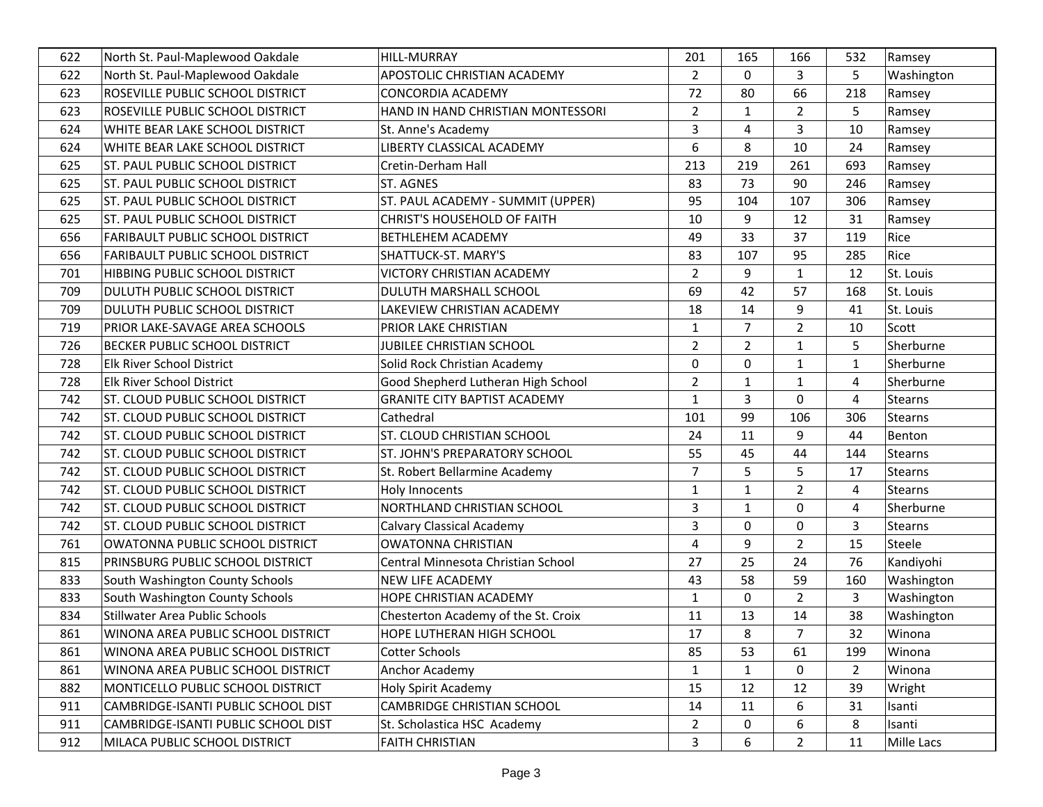| 622 | North St. Paul-Maplewood Oakdale        | <b>HILL-MURRAY</b>                  | 201            | 165            | 166            | 532            | Ramsey         |
|-----|-----------------------------------------|-------------------------------------|----------------|----------------|----------------|----------------|----------------|
| 622 | North St. Paul-Maplewood Oakdale        | APOSTOLIC CHRISTIAN ACADEMY         | $\overline{2}$ | $\mathbf 0$    | 3              | 5              | Washington     |
| 623 | ROSEVILLE PUBLIC SCHOOL DISTRICT        | <b>CONCORDIA ACADEMY</b>            | 72             | 80             | 66             | 218            | Ramsey         |
| 623 | ROSEVILLE PUBLIC SCHOOL DISTRICT        | HAND IN HAND CHRISTIAN MONTESSORI   | $\overline{2}$ | $\mathbf{1}$   | $\overline{2}$ | 5              | Ramsey         |
| 624 | WHITE BEAR LAKE SCHOOL DISTRICT         | St. Anne's Academy                  | 3              | 4              | 3              | 10             | Ramsey         |
| 624 | WHITE BEAR LAKE SCHOOL DISTRICT         | LIBERTY CLASSICAL ACADEMY           | 6              | 8              | 10             | 24             | Ramsey         |
| 625 | ST. PAUL PUBLIC SCHOOL DISTRICT         | Cretin-Derham Hall                  | 213            | 219            | 261            | 693            | Ramsey         |
| 625 | ST. PAUL PUBLIC SCHOOL DISTRICT         | ST. AGNES                           | 83             | 73             | 90             | 246            | Ramsey         |
| 625 | ST. PAUL PUBLIC SCHOOL DISTRICT         | ST. PAUL ACADEMY - SUMMIT (UPPER)   | 95             | 104            | 107            | 306            | Ramsey         |
| 625 | ST. PAUL PUBLIC SCHOOL DISTRICT         | <b>CHRIST'S HOUSEHOLD OF FAITH</b>  | 10             | 9              | 12             | 31             | Ramsey         |
| 656 | <b>FARIBAULT PUBLIC SCHOOL DISTRICT</b> | <b>BETHLEHEM ACADEMY</b>            | 49             | 33             | 37             | 119            | Rice           |
| 656 | <b>FARIBAULT PUBLIC SCHOOL DISTRICT</b> | SHATTUCK-ST. MARY'S                 | 83             | 107            | 95             | 285            | Rice           |
| 701 | HIBBING PUBLIC SCHOOL DISTRICT          | VICTORY CHRISTIAN ACADEMY           | $\overline{2}$ | 9              | $\mathbf{1}$   | 12             | St. Louis      |
| 709 | DULUTH PUBLIC SCHOOL DISTRICT           | DULUTH MARSHALL SCHOOL              | 69             | 42             | 57             | 168            | St. Louis      |
| 709 | DULUTH PUBLIC SCHOOL DISTRICT           | LAKEVIEW CHRISTIAN ACADEMY          | 18             | 14             | 9              | 41             | St. Louis      |
| 719 | PRIOR LAKE-SAVAGE AREA SCHOOLS          | PRIOR LAKE CHRISTIAN                | $\mathbf{1}$   | 7              | $\overline{2}$ | 10             | Scott          |
| 726 | BECKER PUBLIC SCHOOL DISTRICT           | <b>JUBILEE CHRISTIAN SCHOOL</b>     | $\overline{2}$ | $\overline{2}$ | $\mathbf{1}$   | 5              | Sherburne      |
| 728 | Elk River School District               | Solid Rock Christian Academy        | 0              | 0              | 1              | 1              | Sherburne      |
| 728 | Elk River School District               | Good Shepherd Lutheran High School  | $\overline{2}$ | $\mathbf{1}$   | $\mathbf{1}$   | 4              | Sherburne      |
| 742 | ST. CLOUD PUBLIC SCHOOL DISTRICT        | <b>GRANITE CITY BAPTIST ACADEMY</b> | $\mathbf{1}$   | 3              | 0              | 4              | <b>Stearns</b> |
| 742 | ST. CLOUD PUBLIC SCHOOL DISTRICT        | Cathedral                           | 101            | 99             | 106            | 306            | Stearns        |
| 742 | ST. CLOUD PUBLIC SCHOOL DISTRICT        | ST. CLOUD CHRISTIAN SCHOOL          | 24             | 11             | 9              | 44             | Benton         |
| 742 | ST. CLOUD PUBLIC SCHOOL DISTRICT        | ST. JOHN'S PREPARATORY SCHOOL       | 55             | 45             | 44             | 144            | Stearns        |
| 742 | ST. CLOUD PUBLIC SCHOOL DISTRICT        | St. Robert Bellarmine Academy       | $\overline{7}$ | 5              | 5              | 17             | Stearns        |
| 742 | ST. CLOUD PUBLIC SCHOOL DISTRICT        | Holy Innocents                      | $\mathbf{1}$   | $\mathbf{1}$   | $\overline{2}$ | 4              | <b>Stearns</b> |
| 742 | ST. CLOUD PUBLIC SCHOOL DISTRICT        | NORTHLAND CHRISTIAN SCHOOL          | 3              | $\mathbf{1}$   | 0              | 4              | Sherburne      |
| 742 | ST. CLOUD PUBLIC SCHOOL DISTRICT        | <b>Calvary Classical Academy</b>    | 3              | 0              | 0              | 3              | <b>Stearns</b> |
| 761 | OWATONNA PUBLIC SCHOOL DISTRICT         | <b>OWATONNA CHRISTIAN</b>           | 4              | 9              | $\overline{2}$ | 15             | Steele         |
| 815 | PRINSBURG PUBLIC SCHOOL DISTRICT        | Central Minnesota Christian School  | 27             | 25             | 24             | 76             | Kandiyohi      |
| 833 | South Washington County Schools         | NEW LIFE ACADEMY                    | 43             | 58             | 59             | 160            | Washington     |
| 833 | South Washington County Schools         | HOPE CHRISTIAN ACADEMY              | $\mathbf{1}$   | 0              | $\overline{2}$ | 3              | Washington     |
| 834 | <b>Stillwater Area Public Schools</b>   | Chesterton Academy of the St. Croix | 11             | 13             | 14             | 38             | Washington     |
| 861 | WINONA AREA PUBLIC SCHOOL DISTRICT      | HOPE LUTHERAN HIGH SCHOOL           | 17             | 8              | 7              | 32             | Winona         |
| 861 | WINONA AREA PUBLIC SCHOOL DISTRICT      | Cotter Schools                      | 85             | 53             | 61             | 199            | Winona         |
| 861 | WINONA AREA PUBLIC SCHOOL DISTRICT      | Anchor Academy                      | $\mathbf{1}$   | $\mathbf{1}$   | $\mathbf 0$    | $\overline{2}$ | Winona         |
| 882 | MONTICELLO PUBLIC SCHOOL DISTRICT       | Holy Spirit Academy                 | 15             | 12             | 12             | 39             | Wright         |
| 911 | CAMBRIDGE-ISANTI PUBLIC SCHOOL DIST     | <b>CAMBRIDGE CHRISTIAN SCHOOL</b>   | 14             | 11             | 6              | 31             | Isanti         |
| 911 | CAMBRIDGE-ISANTI PUBLIC SCHOOL DIST     | St. Scholastica HSC Academy         | $\overline{2}$ | 0              | 6              | 8              | Isanti         |
| 912 | MILACA PUBLIC SCHOOL DISTRICT           | <b>FAITH CHRISTIAN</b>              | 3              | 6              | $\overline{2}$ | 11             | Mille Lacs     |